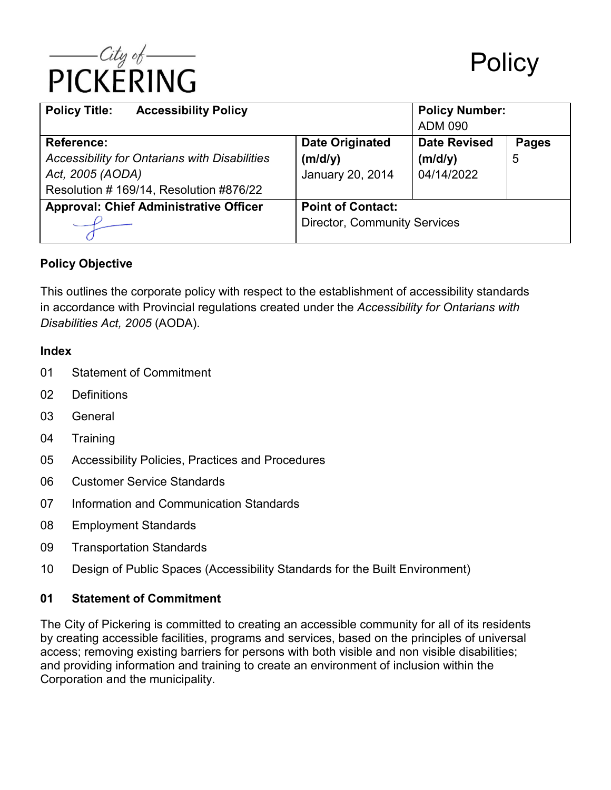

| <b>Policy Title:</b><br><b>Accessibility Policy</b>  |                                     | <b>Policy Number:</b> |              |  |
|------------------------------------------------------|-------------------------------------|-----------------------|--------------|--|
|                                                      |                                     | <b>ADM 090</b>        |              |  |
| <b>Reference:</b>                                    | <b>Date Originated</b>              | <b>Date Revised</b>   | <b>Pages</b> |  |
| <b>Accessibility for Ontarians with Disabilities</b> | (m/d/y)                             | (m/d/y)               | 5            |  |
| Act, 2005 (AODA)                                     | January 20, 2014                    | 04/14/2022            |              |  |
| Resolution #169/14, Resolution #876/22               |                                     |                       |              |  |
| <b>Approval: Chief Administrative Officer</b>        | <b>Point of Contact:</b>            |                       |              |  |
|                                                      | <b>Director, Community Services</b> |                       |              |  |

## **Policy Objective**

This outlines the corporate policy with respect to the establishment of accessibility standards in accordance with Provincial regulations created under the *Accessibility for Ontarians with Disabilities Act, 2005* (AODA).

#### **Index**

- 01 Statement of Commitment
- 02 Definitions
- 03 General
- 04 Training
- 05 Accessibility Policies, Practices and Procedures
- 06 Customer Service Standards
- 07 Information and Communication Standards
- 08 Employment Standards
- 09 Transportation Standards
- 10 Design of Public Spaces (Accessibility Standards for the Built Environment)

## **01 Statement of Commitment**

The City of Pickering is committed to creating an accessible community for all of its residents by creating accessible facilities, programs and services, based on the principles of universal access; removing existing barriers for persons with both visible and non visible disabilities; and providing information and training to create an environment of inclusion within the Corporation and the municipality.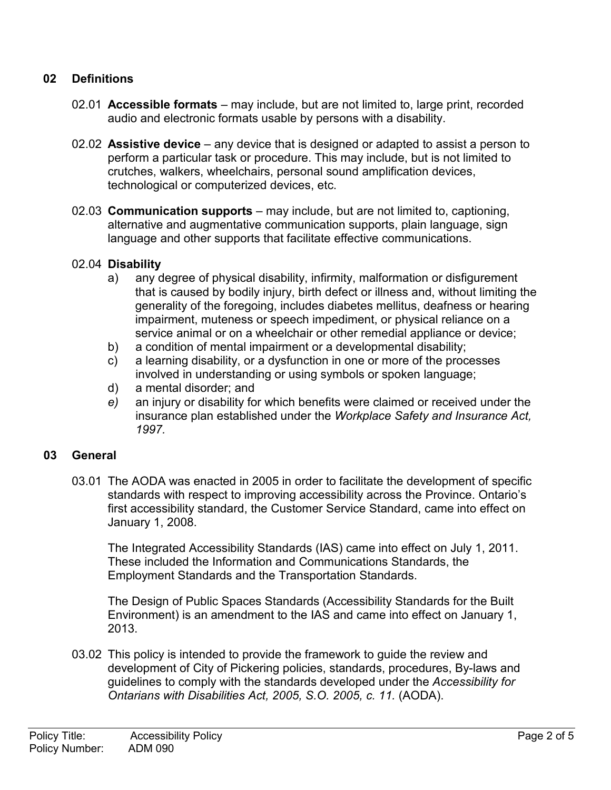## **02 Definitions**

- 02.01 **Accessible formats** may include, but are not limited to, large print, recorded audio and electronic formats usable by persons with a disability.
- 02.02 **Assistive device** any device that is designed or adapted to assist a person to perform a particular task or procedure. This may include, but is not limited to crutches, walkers, wheelchairs, personal sound amplification devices, technological or computerized devices, etc.
- 02.03 **Communication supports** may include, but are not limited to, captioning, alternative and augmentative communication supports, plain language, sign language and other supports that facilitate effective communications.

### 02.04 **Disability**

- a) any degree of physical disability, infirmity, malformation or disfigurement that is caused by bodily injury, birth defect or illness and, without limiting the generality of the foregoing, includes diabetes mellitus, deafness or hearing impairment, muteness or speech impediment, or physical reliance on a service animal or on a wheelchair or other remedial appliance or device;
- b) a condition of mental impairment or a developmental disability;
- c) a learning disability, or a dysfunction in one or more of the processes involved in understanding or using symbols or spoken language;
- d) a mental disorder; and
- *e)* an injury or disability for which benefits were claimed or received under the insurance plan established under the *Workplace Safety and Insurance Act, 1997.*

## **03 General**

03.01 The AODA was enacted in 2005 in order to facilitate the development of specific standards with respect to improving accessibility across the Province. Ontario's first accessibility standard, the Customer Service Standard, came into effect on January 1, 2008.

The Integrated Accessibility Standards (IAS) came into effect on July 1, 2011. These included the Information and Communications Standards, the Employment Standards and the Transportation Standards.

The Design of Public Spaces Standards (Accessibility Standards for the Built Environment) is an amendment to the IAS and came into effect on January 1, 2013.

03.02 This policy is intended to provide the framework to guide the review and development of City of Pickering policies, standards, procedures, By-laws and guidelines to comply with the standards developed under the *Accessibility for Ontarians with Disabilities Act, 2005, S.O. 2005, c. 11.* (AODA).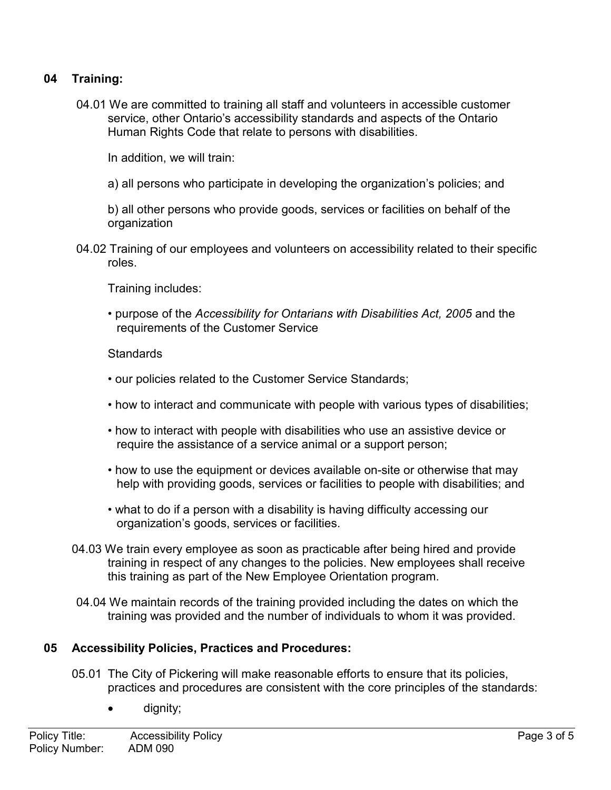## **04 Training:**

04.01 We are committed to training all staff and volunteers in accessible customer service, other Ontario's accessibility standards and aspects of the Ontario Human Rights Code that relate to persons with disabilities.

In addition, we will train:

a) all persons who participate in developing the organization's policies; and

b) all other persons who provide goods, services or facilities on behalf of the organization

04.02 Training of our employees and volunteers on accessibility related to their specific roles.

Training includes:

• purpose of the *Accessibility for Ontarians with Disabilities Act, 2005* and the requirements of the Customer Service

#### **Standards**

- our policies related to the Customer Service Standards;
- how to interact and communicate with people with various types of disabilities;
- how to interact with people with disabilities who use an assistive device or require the assistance of a service animal or a support person;
- how to use the equipment or devices available on-site or otherwise that may help with providing goods, services or facilities to people with disabilities; and
- what to do if a person with a disability is having difficulty accessing our organization's goods, services or facilities.
- 04.03 We train every employee as soon as practicable after being hired and provide training in respect of any changes to the policies. New employees shall receive this training as part of the New Employee Orientation program.
- 04.04 We maintain records of the training provided including the dates on which the training was provided and the number of individuals to whom it was provided.

## **05 Accessibility Policies, Practices and Procedures:**

- 05.01 The City of Pickering will make reasonable efforts to ensure that its policies, practices and procedures are consistent with the core principles of the standards:
	- dignity;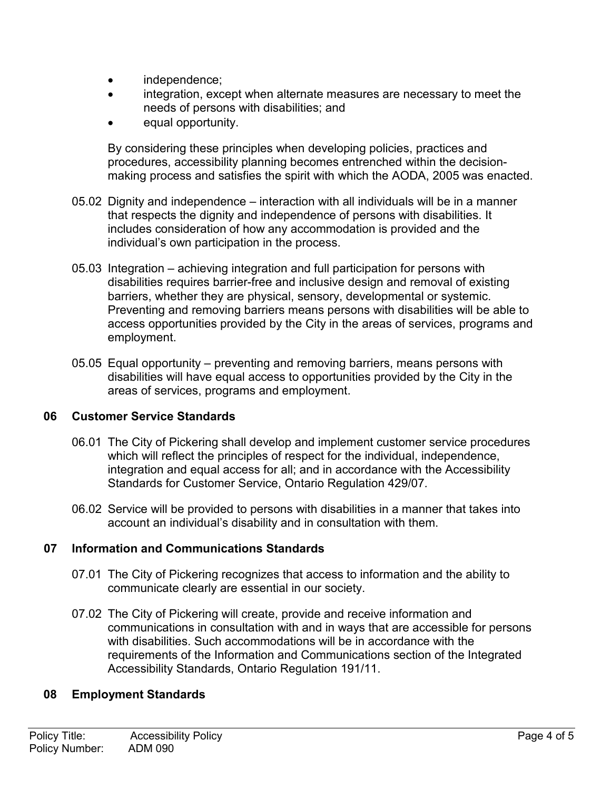- independence;
- integration, except when alternate measures are necessary to meet the needs of persons with disabilities; and
- equal opportunity.

By considering these principles when developing policies, practices and procedures, accessibility planning becomes entrenched within the decisionmaking process and satisfies the spirit with which the AODA, 2005 was enacted.

- 05.02 Dignity and independence interaction with all individuals will be in a manner that respects the dignity and independence of persons with disabilities. It includes consideration of how any accommodation is provided and the individual's own participation in the process.
- 05.03 Integration achieving integration and full participation for persons with disabilities requires barrier-free and inclusive design and removal of existing barriers, whether they are physical, sensory, developmental or systemic. Preventing and removing barriers means persons with disabilities will be able to access opportunities provided by the City in the areas of services, programs and employment.
- 05.05 Equal opportunity preventing and removing barriers, means persons with disabilities will have equal access to opportunities provided by the City in the areas of services, programs and employment.

## **06 Customer Service Standards**

- 06.01 The City of Pickering shall develop and implement customer service procedures which will reflect the principles of respect for the individual, independence, integration and equal access for all; and in accordance with the Accessibility Standards for Customer Service, Ontario Regulation 429/07*.*
- 06.02 Service will be provided to persons with disabilities in a manner that takes into account an individual's disability and in consultation with them.

## **07 Information and Communications Standards**

- 07.01 The City of Pickering recognizes that access to information and the ability to communicate clearly are essential in our society.
- 07.02 The City of Pickering will create, provide and receive information and communications in consultation with and in ways that are accessible for persons with disabilities. Such accommodations will be in accordance with the requirements of the Information and Communications section of the Integrated Accessibility Standards, Ontario Regulation 191/11.

## **08 Employment Standards**